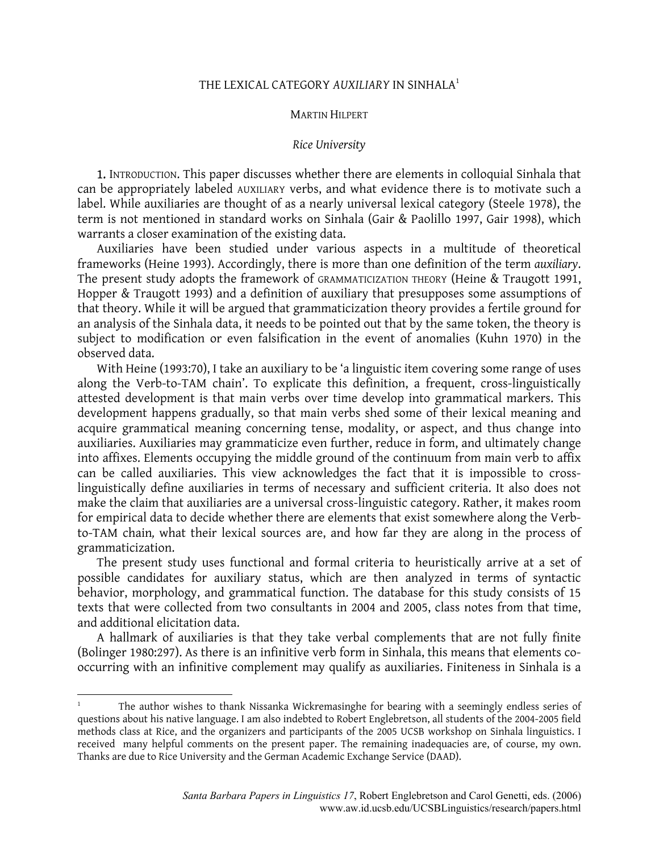## THE LEXICAL CATEGORY *AUXILIARY* IN SINHALA[1](#page-0-0)

## MARTIN HILPERT

## *Rice University*

1. INTRODUCTION. This paper discusses whether there are elements in colloquial Sinhala that can be appropriately labeled AUXILIARY verbs, and what evidence there is to motivate such a label. While auxiliaries are thought of as a nearly universal lexical category (Steele 1978), the term is not mentioned in standard works on Sinhala (Gair & Paolillo 1997, Gair 1998), which warrants a closer examination of the existing data.

Auxiliaries have been studied under various aspects in a multitude of theoretical frameworks (Heine 1993). Accordingly, there is more than one definition of the term *auxiliary*. The present study adopts the framework of GRAMMATICIZATION THEORY (Heine & Traugott 1991, Hopper & Traugott 1993) and a definition of auxiliary that presupposes some assumptions of that theory. While it will be argued that grammaticization theory provides a fertile ground for an analysis of the Sinhala data, it needs to be pointed out that by the same token, the theory is subject to modification or even falsification in the event of anomalies (Kuhn 1970) in the observed data.

With Heine (1993:70), I take an auxiliary to be 'a linguistic item covering some range of uses along the Verb-to-TAM chain'. To explicate this definition, a frequent, cross-linguistically attested development is that main verbs over time develop into grammatical markers. This development happens gradually, so that main verbs shed some of their lexical meaning and acquire grammatical meaning concerning tense, modality, or aspect, and thus change into auxiliaries. Auxiliaries may grammaticize even further, reduce in form, and ultimately change into affixes. Elements occupying the middle ground of the continuum from main verb to affix can be called auxiliaries. This view acknowledges the fact that it is impossible to crosslinguistically define auxiliaries in terms of necessary and sufficient criteria. It also does not make the claim that auxiliaries are a universal cross-linguistic category. Rather, it makes room for empirical data to decide whether there are elements that exist somewhere along the Verbto-TAM chain*,* what their lexical sources are, and how far they are along in the process of grammaticization.

The present study uses functional and formal criteria to heuristically arrive at a set of possible candidates for auxiliary status, which are then analyzed in terms of syntactic behavior, morphology, and grammatical function. The database for this study consists of 15 texts that were collected from two consultants in 2004 and 2005, class notes from that time, and additional elicitation data.

A hallmark of auxiliaries is that they take verbal complements that are not fully finite (Bolinger 1980:297). As there is an infinitive verb form in Sinhala, this means that elements cooccurring with an infinitive complement may qualify as auxiliaries. Finiteness in Sinhala is a

1

<span id="page-0-0"></span><sup>1</sup> The author wishes to thank Nissanka Wickremasinghe for bearing with a seemingly endless series of questions about his native language. I am also indebted to Robert Englebretson, all students of the 2004-2005 field methods class at Rice, and the organizers and participants of the 2005 UCSB workshop on Sinhala linguistics. I received many helpful comments on the present paper. The remaining inadequacies are, of course, my own. Thanks are due to Rice University and the German Academic Exchange Service (DAAD).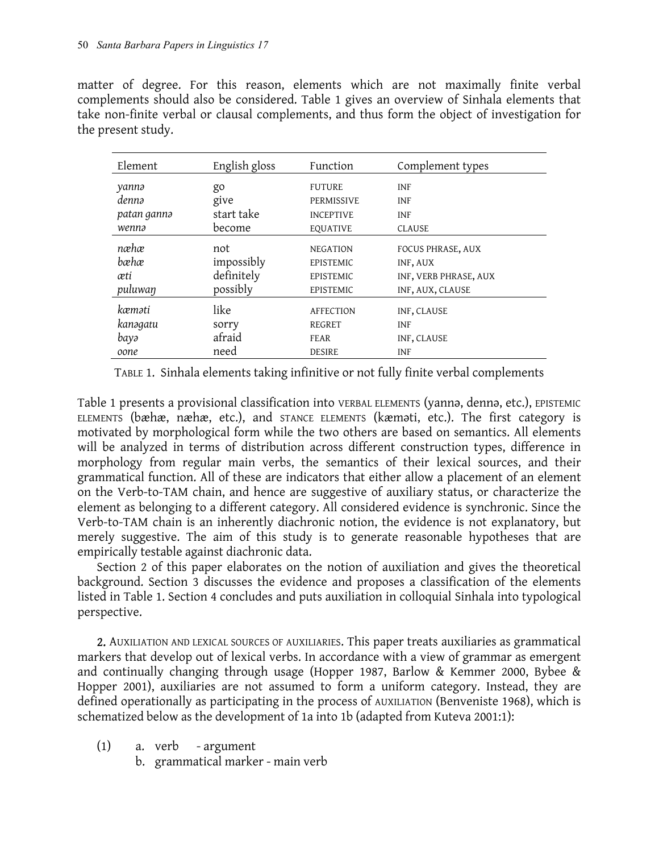matter of degree. For this reason, elements which are not maximally finite verbal complements should also be considered. Table 1 gives an overview of Sinhala elements that take non-finite verbal or clausal complements, and thus form the object of investigation for the present study.

| Element     | English gloss | Function         | Complement types      |
|-------------|---------------|------------------|-----------------------|
| yannə       | go            | <b>FUTURE</b>    | <b>INF</b>            |
| dennə       | give          | PERMISSIVE       | <b>INF</b>            |
| patan gannə | start take    | <b>INCEPTIVE</b> | <b>INF</b>            |
| wennə       | become        | <b>EQUATIVE</b>  | <b>CLAUSE</b>         |
| næhæ        |               |                  |                       |
|             | not           | <b>NEGATION</b>  | FOCUS PHRASE, AUX     |
| bæhæ        | impossibly    | EPISTEMIC        | INF, AUX              |
| æti         | definitely    | EPISTEMIC        | INF, VERB PHRASE, AUX |
| puluwan     | possibly      | EPISTEMIC        | INF, AUX, CLAUSE      |
| kæməti      | like          | <b>AFFECTION</b> | INF, CLAUSE           |
|             |               |                  |                       |
| kanəgatu    | sorry         | REGRET           | <b>INF</b>            |
| bayə        | afraid        | <b>FEAR</b>      | INF, CLAUSE           |
| oone        | need          | <b>DESIRE</b>    | <b>INF</b>            |

TABLE 1. Sinhala elements taking infinitive or not fully finite verbal complements

Table 1 presents a provisional classification into VERBAL ELEMENTS (yannə, dennə, etc.), EPISTEMIC ELEMENTS (bæhæ, næhæ, etc.), and STANCE ELEMENTS (kæməti, etc.). The first category is motivated by morphological form while the two others are based on semantics. All elements will be analyzed in terms of distribution across different construction types, difference in morphology from regular main verbs, the semantics of their lexical sources, and their grammatical function. All of these are indicators that either allow a placement of an element on the Verb-to-TAM chain, and hence are suggestive of auxiliary status, or characterize the element as belonging to a different category. All considered evidence is synchronic. Since the Verb-to-TAM chain is an inherently diachronic notion, the evidence is not explanatory, but merely suggestive. The aim of this study is to generate reasonable hypotheses that are empirically testable against diachronic data.

Section 2 of this paper elaborates on the notion of auxiliation and gives the theoretical background. Section 3 discusses the evidence and proposes a classification of the elements listed in Table 1. Section 4 concludes and puts auxiliation in colloquial Sinhala into typological perspective.

2. AUXILIATION AND LEXICAL SOURCES OF AUXILIARIES. This paper treats auxiliaries as grammatical markers that develop out of lexical verbs. In accordance with a view of grammar as emergent and continually changing through usage (Hopper 1987, Barlow & Kemmer 2000, Bybee & Hopper 2001), auxiliaries are not assumed to form a uniform category. Instead, they are defined operationally as participating in the process of AUXILIATION (Benveniste 1968), which is schematized below as the development of 1a into 1b (adapted from Kuteva 2001:1):

- (1) a. verb argument
	- b. grammatical marker main verb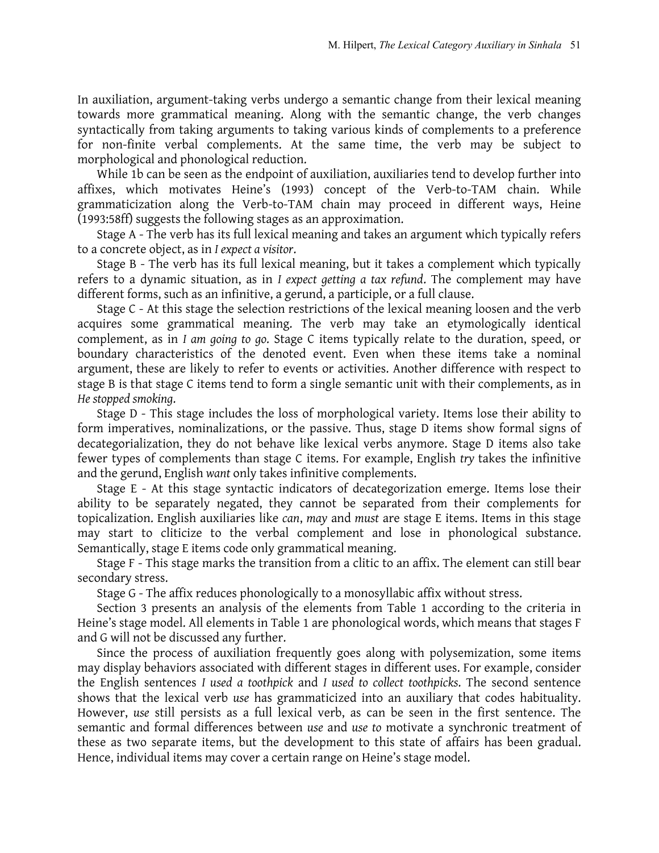In auxiliation, argument-taking verbs undergo a semantic change from their lexical meaning towards more grammatical meaning. Along with the semantic change, the verb changes syntactically from taking arguments to taking various kinds of complements to a preference for non-finite verbal complements. At the same time, the verb may be subject to morphological and phonological reduction.

While 1b can be seen as the endpoint of auxiliation, auxiliaries tend to develop further into affixes, which motivates Heine's (1993) concept of the Verb-to-TAM chain. While grammaticization along the Verb-to-TAM chain may proceed in different ways, Heine (1993:58ff) suggests the following stages as an approximation.

Stage A - The verb has its full lexical meaning and takes an argument which typically refers to a concrete object, as in *I expect a visitor*.

Stage B - The verb has its full lexical meaning, but it takes a complement which typically refers to a dynamic situation, as in *I expect getting a tax refund*. The complement may have different forms, such as an infinitive, a gerund, a participle, or a full clause.

Stage C - At this stage the selection restrictions of the lexical meaning loosen and the verb acquires some grammatical meaning. The verb may take an etymologically identical complement, as in *I am going to go*. Stage C items typically relate to the duration, speed, or boundary characteristics of the denoted event. Even when these items take a nominal argument, these are likely to refer to events or activities. Another difference with respect to stage B is that stage C items tend to form a single semantic unit with their complements, as in *He stopped smoking*.

Stage D - This stage includes the loss of morphological variety. Items lose their ability to form imperatives, nominalizations, or the passive. Thus, stage D items show formal signs of decategorialization, they do not behave like lexical verbs anymore. Stage D items also take fewer types of complements than stage C items. For example, English *try* takes the infinitive and the gerund, English *want* only takes infinitive complements.

Stage E - At this stage syntactic indicators of decategorization emerge. Items lose their ability to be separately negated, they cannot be separated from their complements for topicalization. English auxiliaries like *can*, *may* and *must* are stage E items. Items in this stage may start to cliticize to the verbal complement and lose in phonological substance. Semantically, stage E items code only grammatical meaning.

Stage F - This stage marks the transition from a clitic to an affix. The element can still bear secondary stress.

Stage G - The affix reduces phonologically to a monosyllabic affix without stress.

Section 3 presents an analysis of the elements from Table 1 according to the criteria in Heine's stage model. All elements in Table 1 are phonological words, which means that stages F and G will not be discussed any further.

Since the process of auxiliation frequently goes along with polysemization, some items may display behaviors associated with different stages in different uses. For example, consider the English sentences *I used a toothpick* and *I used to collect toothpicks*. The second sentence shows that the lexical verb *use* has grammaticized into an auxiliary that codes habituality. However, *use* still persists as a full lexical verb, as can be seen in the first sentence. The semantic and formal differences between *use* and *use to* motivate a synchronic treatment of these as two separate items, but the development to this state of affairs has been gradual. Hence, individual items may cover a certain range on Heine's stage model.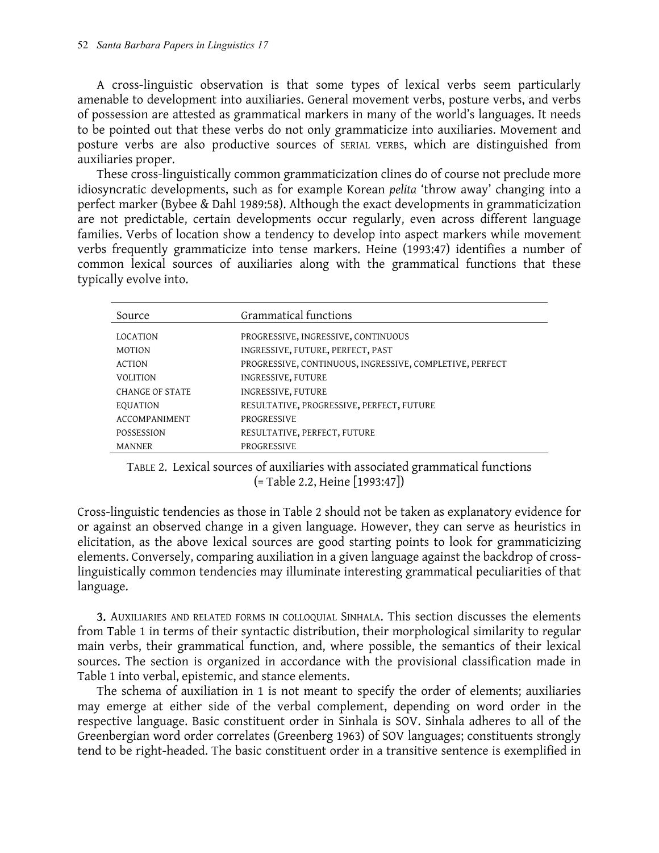A cross-linguistic observation is that some types of lexical verbs seem particularly amenable to development into auxiliaries. General movement verbs, posture verbs, and verbs of possession are attested as grammatical markers in many of the world's languages. It needs to be pointed out that these verbs do not only grammaticize into auxiliaries. Movement and posture verbs are also productive sources of SERIAL VERBS, which are distinguished from auxiliaries proper.

These cross-linguistically common grammaticization clines do of course not preclude more idiosyncratic developments, such as for example Korean *pelita* 'throw away' changing into a perfect marker (Bybee & Dahl 1989:58). Although the exact developments in grammaticization are not predictable, certain developments occur regularly, even across different language families. Verbs of location show a tendency to develop into aspect markers while movement verbs frequently grammaticize into tense markers. Heine (1993:47) identifies a number of common lexical sources of auxiliaries along with the grammatical functions that these typically evolve into.

| Source                 | Grammatical functions                                    |
|------------------------|----------------------------------------------------------|
|                        |                                                          |
| <b>LOCATION</b>        | PROGRESSIVE, INGRESSIVE, CONTINUOUS                      |
| <b>MOTION</b>          | INGRESSIVE, FUTURE, PERFECT, PAST                        |
| <b>ACTION</b>          | PROGRESSIVE, CONTINUOUS, INGRESSIVE, COMPLETIVE, PERFECT |
| <b>VOLITION</b>        | INGRESSIVE, FUTURE                                       |
| <b>CHANGE OF STATE</b> | INGRESSIVE, FUTURE                                       |
| <b>EQUATION</b>        | RESULTATIVE, PROGRESSIVE, PERFECT, FUTURE                |
| <b>ACCOMPANIMENT</b>   | <b>PROGRESSIVE</b>                                       |
| <b>POSSESSION</b>      | RESULTATIVE, PERFECT, FUTURE                             |
| <b>MANNER</b>          | PROGRESSIVE                                              |

TABLE 2. Lexical sources of auxiliaries with associated grammatical functions (= Table 2.2, Heine [1993:47])

Cross-linguistic tendencies as those in Table 2 should not be taken as explanatory evidence for or against an observed change in a given language. However, they can serve as heuristics in elicitation, as the above lexical sources are good starting points to look for grammaticizing elements. Conversely, comparing auxiliation in a given language against the backdrop of crosslinguistically common tendencies may illuminate interesting grammatical peculiarities of that language.

3. AUXILIARIES AND RELATED FORMS IN COLLOQUIAL SINHALA. This section discusses the elements from Table 1 in terms of their syntactic distribution, their morphological similarity to regular main verbs, their grammatical function, and, where possible, the semantics of their lexical sources. The section is organized in accordance with the provisional classification made in Table 1 into verbal, epistemic, and stance elements.

The schema of auxiliation in 1 is not meant to specify the order of elements; auxiliaries may emerge at either side of the verbal complement, depending on word order in the respective language. Basic constituent order in Sinhala is SOV. Sinhala adheres to all of the Greenbergian word order correlates (Greenberg 1963) of SOV languages; constituents strongly tend to be right-headed. The basic constituent order in a transitive sentence is exemplified in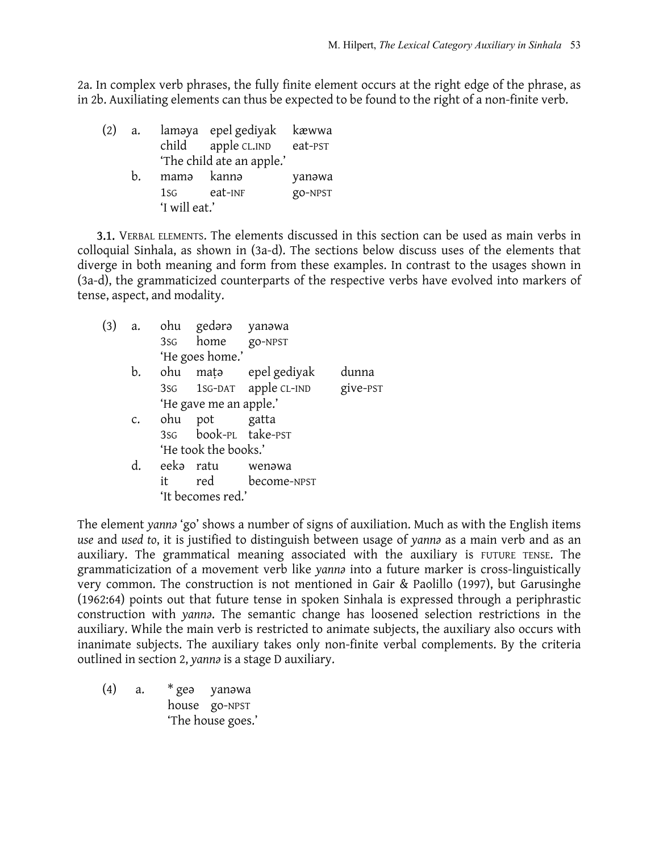2a. In complex verb phrases, the fully finite element occurs at the right edge of the phrase, as in 2b. Auxiliating elements can thus be expected to be found to the right of a non-finite verb.

| (2) | a. |                 | laməya epel gediyak kæwwa<br>child apple CL.IND eat-PST |         |
|-----|----|-----------------|---------------------------------------------------------|---------|
|     |    |                 | 'The child ate an apple.'                               |         |
|     | h. | mamə kannə      |                                                         | yanəwa  |
|     |    | 1S <sub>G</sub> | eat-inf                                                 | go-NPST |
|     |    | 'I will eat.'   |                                                         |         |

3.1. VERBAL ELEMENTS. The elements discussed in this section can be used as main verbs in colloquial Sinhala, as shown in (3a-d). The sections below discuss uses of the elements that diverge in both meaning and form from these examples. In contrast to the usages shown in (3a-d), the grammaticized counterparts of the respective verbs have evolved into markers of tense, aspect, and modality.

| (3) | a.             |           | ohu gedərə yanəwa            |                                   |  |
|-----|----------------|-----------|------------------------------|-----------------------------------|--|
|     |                |           | 3s <sub>G</sub> home go-NPST |                                   |  |
|     |                |           | 'He goes home.'              |                                   |  |
|     | b.             |           |                              | ohu mata epel gediyak dunna       |  |
|     |                |           |                              | 3sG 1sG-DAT apple CL-IND give-PST |  |
|     |                |           | 'He gave me an apple.'       |                                   |  |
|     | $C_{\bullet}$  | ohu       | pot gatta                    |                                   |  |
|     |                |           | 3sg book-PL take-PST         |                                   |  |
|     |                |           | 'He took the books.'         |                                   |  |
|     | $\mathbf{d}$ . | eeka ratu |                              | wenəwa                            |  |
|     |                | it        |                              | red become-NPST                   |  |
|     |                |           | 'It becomes red.'            |                                   |  |

The element *yannə* 'go' shows a number of signs of auxiliation. Much as with the English items *use* and *used to*, it is justified to distinguish between usage of *yannə* as a main verb and as an auxiliary. The grammatical meaning associated with the auxiliary is FUTURE TENSE. The grammaticization of a movement verb like *yannə* into a future marker is cross-linguistically very common. The construction is not mentioned in Gair & Paolillo (1997), but Garusinghe (1962:64) points out that future tense in spoken Sinhala is expressed through a periphrastic construction with *yannə*. The semantic change has loosened selection restrictions in the auxiliary. While the main verb is restricted to animate subjects, the auxiliary also occurs with inanimate subjects. The auxiliary takes only non-finite verbal complements. By the criteria outlined in section 2, *yannə* is a stage D auxiliary.

(4) a. \* geə yanəwa house go-NPST 'The house goes.'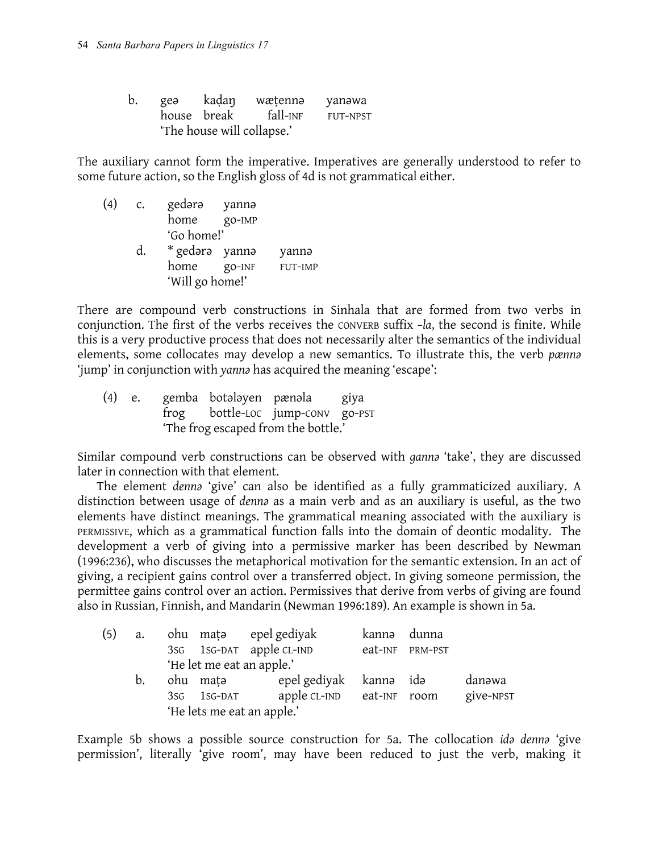| b. | geə | kaḍaŋ                      | wætenna  | yanəwa   |  |  |  |  |
|----|-----|----------------------------|----------|----------|--|--|--|--|
|    |     | house break                | fall-inf | FUT-NPST |  |  |  |  |
|    |     | 'The house will collapse.' |          |          |  |  |  |  |

The auxiliary cannot form the imperative. Imperatives are generally understood to refer to some future action, so the English gloss of 4d is not grammatical either.

(4) c. gedərə yannə home go-IMP 'Go home!' d. \* gedərə yannə yannə home go-INF FUT-IMP 'Will go home!'

There are compound verb constructions in Sinhala that are formed from two verbs in conjunction. The first of the verbs receives the CONVERB suffix *–la*, the second is finite. While this is a very productive process that does not necessarily alter the semantics of the individual elements, some collocates may develop a new semantics. To illustrate this, the verb *pænnə* 'jump' in conjunction with *yannə* has acquired the meaning 'escape':

(4) e. gemba botǝlǝyen pænǝla giya frog bottle-LOC jump-CONV go-PST 'The frog escaped from the bottle.'

Similar compound verb constructions can be observed with *gannə* 'take', they are discussed later in connection with that element.

The element *dennə* 'give' can also be identified as a fully grammaticized auxiliary. A distinction between usage of *dennə* as a main verb and as an auxiliary is useful, as the two elements have distinct meanings. The grammatical meaning associated with the auxiliary is PERMISSIVE, which as a grammatical function falls into the domain of deontic modality. The development a verb of giving into a permissive marker has been described by Newman (1996:236), who discusses the metaphorical motivation for the semantic extension. In an act of giving, a recipient gains control over a transferred object. In giving someone permission, the permittee gains control over an action. Permissives that derive from verbs of giving are found also in Russian, Finnish, and Mandarin (Newman 1996:189). An example is shown in 5a.

| (5) | a. |                 |                           | ohu mata epel gediyak      | kannə | dunna           |           |  |
|-----|----|-----------------|---------------------------|----------------------------|-------|-----------------|-----------|--|
|     |    |                 |                           | 3sG 1sG-DAT apple CL-IND   |       | eat-INF PRM-PST |           |  |
|     |    |                 | 'He let me eat an apple.' |                            |       |                 |           |  |
|     | b. |                 | ohu matə                  | epel gediyak kanna idə     |       |                 | danəwa    |  |
|     |    | 3S <sub>G</sub> | $1$ SG-DAT                | apple CL-IND eat-INF room  |       |                 | give-NPST |  |
|     |    |                 |                           | 'He lets me eat an apple.' |       |                 |           |  |

Example 5b shows a possible source construction for 5a. The collocation *idə dennə* 'give permission', literally 'give room', may have been reduced to just the verb, making it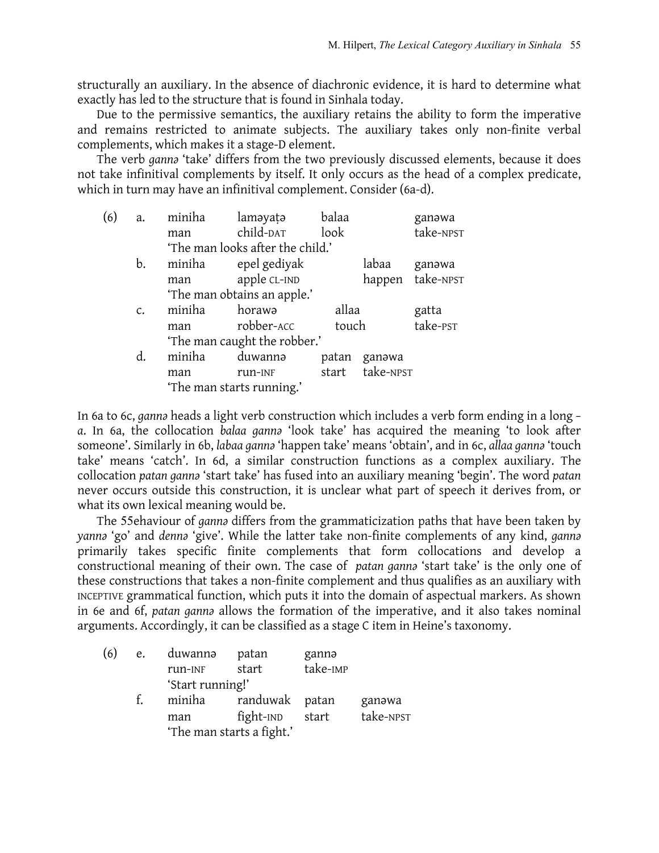structurally an auxiliary. In the absence of diachronic evidence, it is hard to determine what exactly has led to the structure that is found in Sinhala today.

Due to the permissive semantics, the auxiliary retains the ability to form the imperative and remains restricted to animate subjects. The auxiliary takes only non-finite verbal complements, which makes it a stage-D element.

The verb *gannə* 'take' differs from the two previously discussed elements, because it does not take infinitival complements by itself. It only occurs as the head of a complex predicate, which in turn may have an infinitival complement. Consider (6a-d).

| (6) | a.              | miniha | laməyatə                         | balaa |           | ganawa           |
|-----|-----------------|--------|----------------------------------|-------|-----------|------------------|
|     |                 | man    | child-DAT                        | look  |           | take-NPST        |
|     |                 |        | 'The man looks after the child.' |       |           |                  |
|     | b.              | miniha | epel gediyak                     |       | labaa     | ganawa           |
|     |                 | man    | apple CL-IND                     |       |           | happen take-NPST |
|     |                 |        | 'The man obtains an apple.'      |       |           |                  |
|     | $\mathcal{C}$ . | miniha | horawa                           | allaa |           | gatta            |
|     |                 | man    | robber-ACC                       | touch |           | take-PST         |
|     |                 |        | 'The man caught the robber.'     |       |           |                  |
|     | d.              | miniha | duwannə                          | patan | ganawa    |                  |
|     |                 | man    | run-INF                          | start | take-NPST |                  |
|     |                 |        | 'The man starts running.'        |       |           |                  |

In 6a to 6c, *gannə* heads a light verb construction which includes a verb form ending in a long *– a*. In 6a, the collocation *balaa gannə* 'look take' has acquired the meaning 'to look after someone'. Similarly in 6b, *labaa gannə* 'happen take' means 'obtain', and in 6c, *allaa gannə* 'touch take' means 'catch'. In 6d, a similar construction functions as a complex auxiliary. The collocation *patan gannə* 'start take' has fused into an auxiliary meaning 'begin'. The word *patan* never occurs outside this construction, it is unclear what part of speech it derives from, or what its own lexical meaning would be.

The 55ehaviour of *gannə* differs from the grammaticization paths that have been taken by *yannə* 'go' and *dennə* 'give'. While the latter take non-finite complements of any kind, *gannə* primarily takes specific finite complements that form collocations and develop a constructional meaning of their own. The case of *patan gannə* 'start take' is the only one of these constructions that takes a non-finite complement and thus qualifies as an auxiliary with INCEPTIVE grammatical function, which puts it into the domain of aspectual markers. As shown in 6e and 6f, *patan gannə* allows the formation of the imperative, and it also takes nominal arguments. Accordingly, it can be classified as a stage C item in Heine's taxonomy.

| (6) | e. | duwannə          | patan                     | gannə    |           |
|-----|----|------------------|---------------------------|----------|-----------|
|     |    | run-INF          | start                     | take-IMP |           |
|     |    | 'Start running!' |                           |          |           |
|     | f. | miniha           | randuwak patan            |          | ganawa    |
|     |    | man              | fight-IND                 | start    | take-NPST |
|     |    |                  | 'The man starts a fight.' |          |           |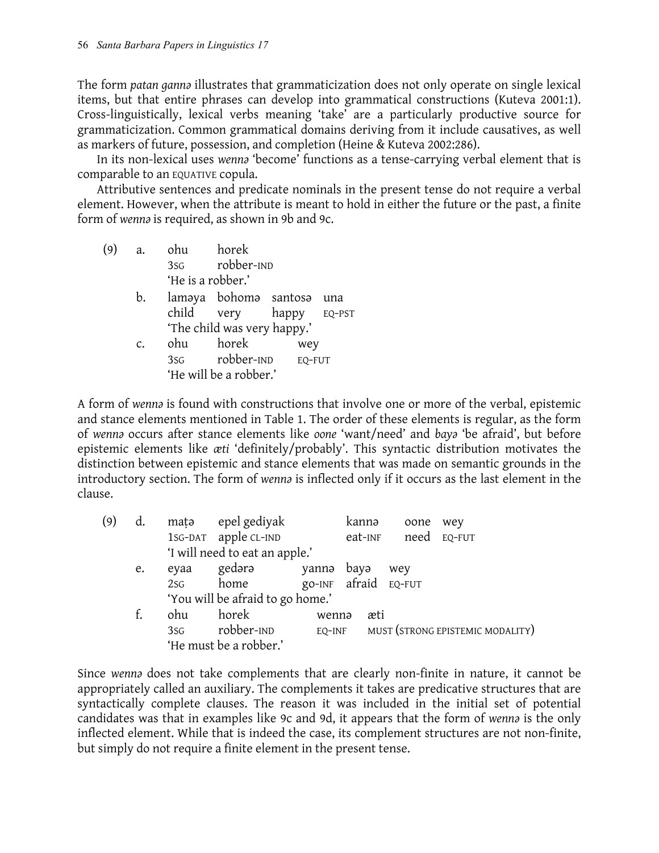The form *patan gannə* illustrates that grammaticization does not only operate on single lexical items, but that entire phrases can develop into grammatical constructions (Kuteva 2001:1). Cross-linguistically, lexical verbs meaning 'take' are a particularly productive source for grammaticization. Common grammatical domains deriving from it include causatives, as well as markers of future, possession, and completion (Heine & Kuteva 2002:286).

In its non-lexical uses *wennə* 'become' functions as a tense-carrying verbal element that is comparable to an EQUATIVE copula.

Attributive sentences and predicate nominals in the present tense do not require a verbal element. However, when the attribute is meant to hold in either the future or the past, a finite form of *wennə* is required, as shown in 9b and 9c.

- (9) a. ohu horek 3SG robber-IND 'He is a robber.'
	- b. laməya bohomə santosə una child very happy EQ-PST 'The child was very happy.' c. ohu horek wey 3SG robber-IND EQ-FUT
		- 'He will be a robber.'

A form of *wennə* is found with constructions that involve one or more of the verbal, epistemic and stance elements mentioned in Table 1. The order of these elements is regular, as the form of *wennə* occurs after stance elements like *oone* 'want/need' and *bayə* 'be afraid', but before epistemic elements like *æti* 'definitely/probably'. This syntactic distribution motivates the distinction between epistemic and stance elements that was made on semantic grounds in the introductory section. The form of *wennə* is inflected only if it occurs as the last element in the clause.

| (9) | d. | matə            | epel gediyak                     |        | kannə   | oone                 | wey                              |
|-----|----|-----------------|----------------------------------|--------|---------|----------------------|----------------------------------|
|     |    |                 | 1sG-DAT apple CL-IND             |        | eat-INF |                      | need EQ-FUT                      |
|     |    |                 | 'I will need to eat an apple.'   |        |         |                      |                                  |
|     | e. | eyaa            | gedərə                           | yannə  | bayə    | wey                  |                                  |
|     |    | 2S <sub>G</sub> | home                             |        |         | go-INF afraid EQ-FUT |                                  |
|     |    |                 | 'You will be afraid to go home.' |        |         |                      |                                  |
|     | f. | ohu             | horek                            | wenna  |         | æti                  |                                  |
|     |    | 3sG             | robber-IND                       | EQ-INF |         |                      | MUST (STRONG EPISTEMIC MODALITY) |
|     |    |                 | 'He must be a robber.'           |        |         |                      |                                  |

Since *wennə* does not take complements that are clearly non-finite in nature, it cannot be appropriately called an auxiliary. The complements it takes are predicative structures that are syntactically complete clauses. The reason it was included in the initial set of potential candidates was that in examples like 9c and 9d, it appears that the form of *wennə* is the only inflected element. While that is indeed the case, its complement structures are not non-finite, but simply do not require a finite element in the present tense.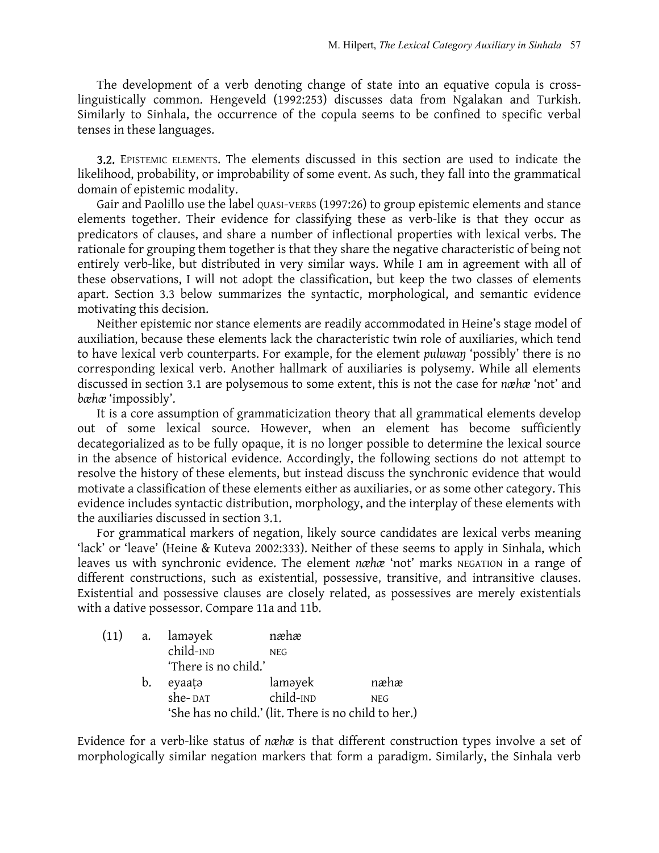The development of a verb denoting change of state into an equative copula is crosslinguistically common. Hengeveld (1992:253) discusses data from Ngalakan and Turkish. Similarly to Sinhala, the occurrence of the copula seems to be confined to specific verbal tenses in these languages.

3.2. EPISTEMIC ELEMENTS. The elements discussed in this section are used to indicate the likelihood, probability, or improbability of some event. As such, they fall into the grammatical domain of epistemic modality.

Gair and Paolillo use the label QUASI-VERBS (1997:26) to group epistemic elements and stance elements together. Their evidence for classifying these as verb-like is that they occur as predicators of clauses, and share a number of inflectional properties with lexical verbs. The rationale for grouping them together is that they share the negative characteristic of being not entirely verb-like, but distributed in very similar ways. While I am in agreement with all of these observations, I will not adopt the classification, but keep the two classes of elements apart. Section 3.3 below summarizes the syntactic, morphological, and semantic evidence motivating this decision.

Neither epistemic nor stance elements are readily accommodated in Heine's stage model of auxiliation, because these elements lack the characteristic twin role of auxiliaries, which tend to have lexical verb counterparts. For example, for the element *puluwaŋ* 'possibly' there is no corresponding lexical verb. Another hallmark of auxiliaries is polysemy. While all elements discussed in section 3.1 are polysemous to some extent, this is not the case for *næhæ* 'not' and *bæhæ* 'impossibly'.

It is a core assumption of grammaticization theory that all grammatical elements develop out of some lexical source. However, when an element has become sufficiently decategorialized as to be fully opaque, it is no longer possible to determine the lexical source in the absence of historical evidence. Accordingly, the following sections do not attempt to resolve the history of these elements, but instead discuss the synchronic evidence that would motivate a classification of these elements either as auxiliaries, or as some other category. This evidence includes syntactic distribution, morphology, and the interplay of these elements with the auxiliaries discussed in section 3.1.

For grammatical markers of negation, likely source candidates are lexical verbs meaning 'lack' or 'leave' (Heine & Kuteva 2002:333). Neither of these seems to apply in Sinhala, which leaves us with synchronic evidence. The element *næhæ* 'not' marks NEGATION in a range of different constructions, such as existential, possessive, transitive, and intransitive clauses. Existential and possessive clauses are closely related, as possessives are merely existentials with a dative possessor. Compare 11a and 11b.

| (11) |             | a. laməyek           | næhæ                                                 |            |
|------|-------------|----------------------|------------------------------------------------------|------------|
|      |             | child-IND            | <b>NEG</b>                                           |            |
|      |             | 'There is no child.' |                                                      |            |
|      | $b_{\cdot}$ | eyaata               | laməyek                                              | næhæ       |
|      |             | she-DAT              | child-IND                                            | <b>NEG</b> |
|      |             |                      | 'She has no child.' (lit. There is no child to her.) |            |

Evidence for a verb-like status of *næhæ* is that different construction types involve a set of morphologically similar negation markers that form a paradigm. Similarly, the Sinhala verb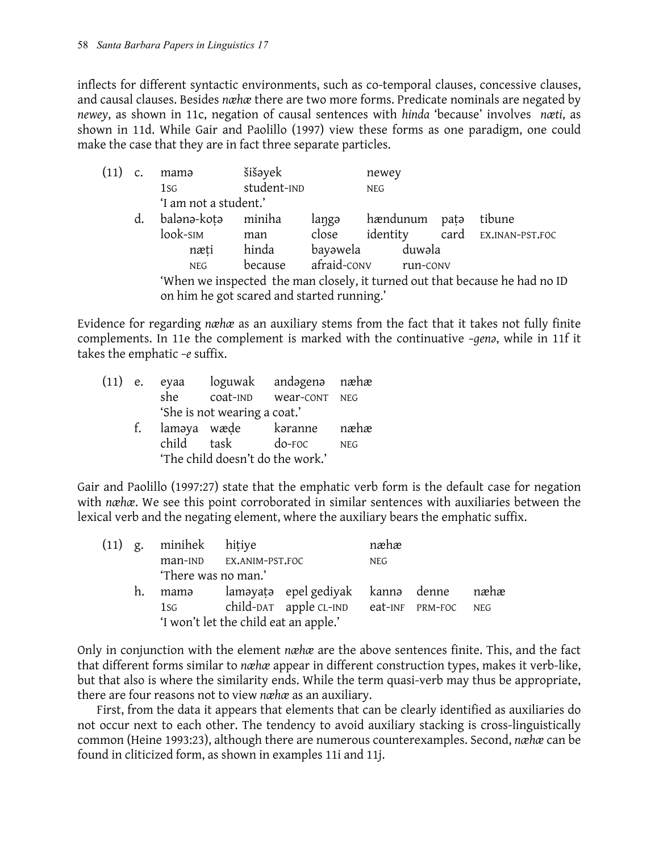inflects for different syntactic environments, such as co-temporal clauses, concessive clauses, and causal clauses. Besides *næhæ* there are two more forms. Predicate nominals are negated by *newey*, as shown in 11c, negation of causal sentences with *hinda* 'because' involves *næti*, as shown in 11d. While Gair and Paolillo (1997) view these forms as one paradigm, one could make the case that they are in fact three separate particles.

| (11) |    | mama                                       | šišəyek     |          | newey                |      |                                                                             |
|------|----|--------------------------------------------|-------------|----------|----------------------|------|-----------------------------------------------------------------------------|
|      |    | 1S <sub>G</sub>                            | student-IND |          | <b>NEG</b>           |      |                                                                             |
|      |    | 'I am not a student.'                      |             |          |                      |      |                                                                             |
|      | d. | balənə-kotə                                | miniha      | langə    | hændunum             | pata | tibune                                                                      |
|      |    | look-sim                                   | man         | close    |                      |      | identity card EX.INAN-PST.FOC                                               |
|      |    | næti                                       | hinda       | bayəwela | duwəla               |      |                                                                             |
|      |    | <b>NEG</b>                                 | because     |          | afraid-conv run-conv |      |                                                                             |
|      |    |                                            |             |          |                      |      | 'When we inspected the man closely, it turned out that because he had no ID |
|      |    | on him he got scared and started running.' |             |          |                      |      |                                                                             |

Evidence for regarding *næhæ* as an auxiliary stems from the fact that it takes not fully finite complements. In 11e the complement is marked with the continuative *–genə*, while in 11f it takes the emphatic *–e* suffix.

|                                  |                              |                    | (11) e. eyaa loguwak andagena næhæ |            |  |  |  |
|----------------------------------|------------------------------|--------------------|------------------------------------|------------|--|--|--|
|                                  | she                          | coat-IND wear-CONT |                                    | NEG        |  |  |  |
|                                  | 'She is not wearing a coat.' |                    |                                    |            |  |  |  |
|                                  |                              |                    | f. lamaya wæde karanne næhæ        |            |  |  |  |
|                                  | child task                   |                    | $do$ - $\Gamma$ OC                 | <b>NEG</b> |  |  |  |
| 'The child doesn't do the work.' |                              |                    |                                    |            |  |  |  |

Gair and Paolillo (1997:27) state that the emphatic verb form is the default case for negation with *næhæ*. We see this point corroborated in similar sentences with auxiliaries between the lexical verb and the negating element, where the auxiliary bears the emphatic suffix.

|    | (11) g. minihek hitiye                                                                                                                                                                                                         |                         |                                            | næhæ       |  |
|----|--------------------------------------------------------------------------------------------------------------------------------------------------------------------------------------------------------------------------------|-------------------------|--------------------------------------------|------------|--|
|    |                                                                                                                                                                                                                                | man-IND EX.ANIM-PST.FOC |                                            | <b>NEG</b> |  |
|    | 'There was no man.'                                                                                                                                                                                                            |                         |                                            |            |  |
| h. | mamə                                                                                                                                                                                                                           |                         | laməyatə epelgediyak kannə denne næhæ      |            |  |
|    | 1sg and the set of the set of the set of the set of the set of the set of the set of the set of the set of the set of the set of the set of the set of the set of the set of the set of the set of the set of the set of the s |                         | child-DAT apple CL-IND eat-INF PRM-FOC NEG |            |  |
|    |                                                                                                                                                                                                                                |                         | 'I won't let the child eat an apple.'      |            |  |

Only in conjunction with the element *næhæ* are the above sentences finite. This, and the fact that different forms similar to *næhæ* appear in different construction types, makes it verb-like, but that also is where the similarity ends. While the term quasi-verb may thus be appropriate, there are four reasons not to view *næhæ* as an auxiliary.

First, from the data it appears that elements that can be clearly identified as auxiliaries do not occur next to each other. The tendency to avoid auxiliary stacking is cross-linguistically common (Heine 1993:23), although there are numerous counterexamples. Second, *næhæ* can be found in cliticized form, as shown in examples 11i and 11j.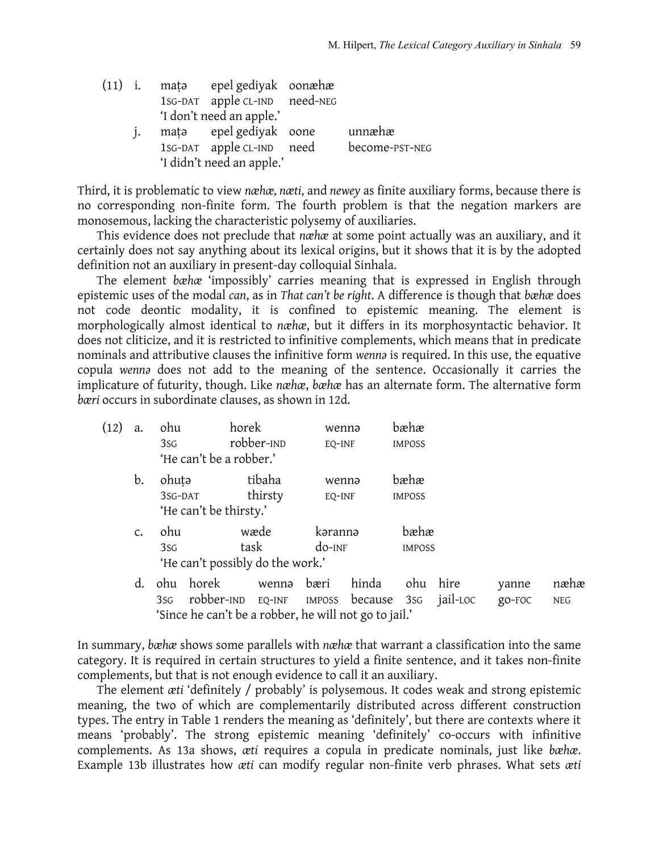| $(11)$ i. |  | mata epel gediyak oonæhæ      |                |
|-----------|--|-------------------------------|----------------|
|           |  | 1sG-DAT apple CL-IND need-NEG |                |
|           |  | 'I don't need an apple.'      |                |
|           |  | mata epel gediyak oone        | unnæhæ         |
|           |  | 1sG-DAT apple CL-IND need     | become-PST-NEG |
|           |  | 'I didn't need an apple.'     |                |
|           |  |                               |                |

Third, it is problematic to view *næhæ, næti*, and *newey* as finite auxiliary forms, because there is no corresponding non-finite form. The fourth problem is that the negation markers are monosemous, lacking the characteristic polysemy of auxiliaries.

This evidence does not preclude that *næhæ* at some point actually was an auxiliary, and it certainly does not say anything about its lexical origins, but it shows that it is by the adopted definition not an auxiliary in present-day colloquial Sinhala.

The element *bæhæ* 'impossibly' carries meaning that is expressed in English through epistemic uses of the modal *can*, as in *That can't be right*. A difference is though that *bæhæ* does not code deontic modality, it is confined to epistemic meaning. The element is morphologically almost identical to *næhæ*, but it differs in its morphosyntactic behavior. It does not cliticize, and it is restricted to infinitive complements, which means that in predicate nominals and attributive clauses the infinitive form *wennə* is required. In this use, the equative copula *wennə* does not add to the meaning of the sentence. Occasionally it carries the implicature of futurity, though. Like *næhæ*, *bæhæ* has an alternate form. The alternative form *bæri* occurs in subordinate clauses, as shown in 12d.

| (12) | a.            | ohu             |                                  | horek      |         |           | wennə | bæhæ          |     |
|------|---------------|-----------------|----------------------------------|------------|---------|-----------|-------|---------------|-----|
|      |               | 3S <sub>G</sub> |                                  | robber-IND |         | EQ-INF    |       | <b>IMPOSS</b> |     |
|      |               |                 | 'He can't be a robber.'          |            |         |           |       |               |     |
|      | b.            | ohuta           |                                  |            | tibaha  |           | wennə | bæhæ          |     |
|      |               | 3SG-DAT         |                                  |            | thirsty | EO-INF    |       | <b>IMPOSS</b> |     |
|      |               |                 | 'He can't be thirsty.'           |            |         |           |       |               |     |
|      | $C_{\bullet}$ | ohu             |                                  | wæde       |         | kərannə   |       | bæhæ          |     |
|      |               | 3S <sub>G</sub> |                                  | task       |         | $do$ -INF |       | <b>IMPOSS</b> |     |
|      |               |                 | 'He can't possibly do the work.' |            |         |           |       |               |     |
|      |               | $\Delta$ hu     | horek                            |            | wenna   | hæri      | hinda | $\Delta$ h11  | hir |

d. ohu horek wennə bæri hinda ohu hire yanne næhæ 3SG robber-IND EQ-INF IMPOSS because 3SG jail-LOC go-FOC NEG 'Since he can't be a robber, he will not go to jail.'

In summary, *bæhæ* shows some parallels with *næhæ* that warrant a classification into the same category. It is required in certain structures to yield a finite sentence, and it takes non-finite complements, but that is not enough evidence to call it an auxiliary.

The element *æti* 'definitely / probably' is polysemous. It codes weak and strong epistemic meaning, the two of which are complementarily distributed across different construction types. The entry in Table 1 renders the meaning as 'definitely', but there are contexts where it means 'probably'. The strong epistemic meaning 'definitely' co-occurs with infinitive complements. As 13a shows, *æti* requires a copula in predicate nominals, just like *bæhæ*. Example 13b illustrates how *æti* can modify regular non-finite verb phrases. What sets *æti*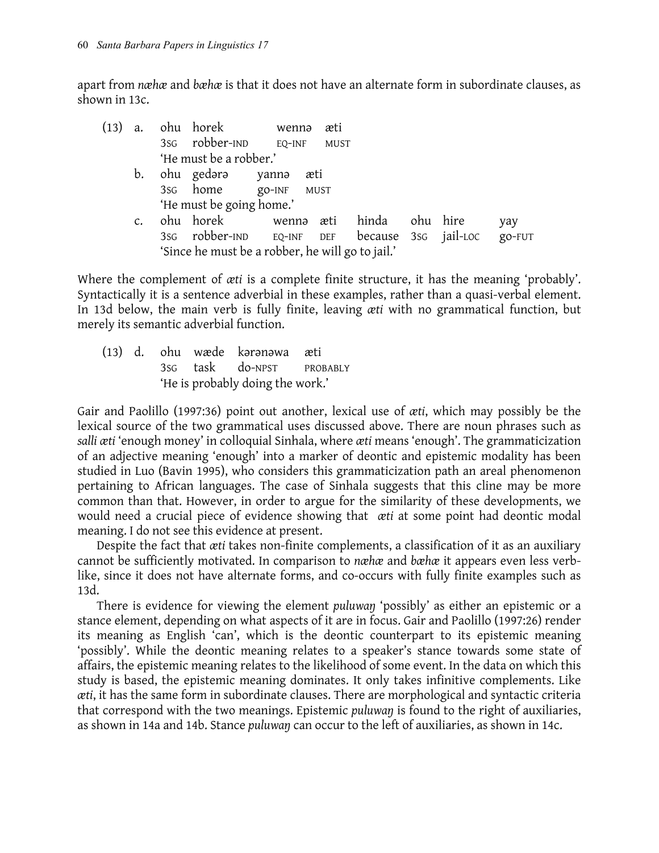apart from *næhæ* and *bæhæ* is that it does not have an alternate form in subordinate clauses, as shown in 13c.

| (13) | a.             |                 | ohu horek wennə                                  |                 | æti         |  |          |        |
|------|----------------|-----------------|--------------------------------------------------|-----------------|-------------|--|----------|--------|
|      |                |                 | 3sg robber-IND EQ-INF                            |                 | <b>MUST</b> |  |          |        |
|      |                |                 | 'He must be a robber.'                           |                 |             |  |          |        |
|      | b.             |                 | ohu gedərə yannə                                 | æti             |             |  |          |        |
|      |                |                 | 3s <sub>G</sub> home go-INF                      | <b>MUST</b>     |             |  |          |        |
|      |                |                 | 'He must be going home.'                         |                 |             |  |          |        |
|      | $\mathsf{C}$ . |                 | ohu horek                                        | wennə æti hinda |             |  | ohu hire | yay    |
|      |                | 3S <sub>G</sub> | robber-IND EQ-INF DEF because 3sG jail-LOC       |                 |             |  |          | go-FUT |
|      |                |                 | 'Since he must be a robber, he will go to jail.' |                 |             |  |          |        |

Where the complement of *æti* is a complete finite structure, it has the meaning 'probably'. Syntactically it is a sentence adverbial in these examples, rather than a quasi-verbal element. In 13d below, the main verb is fully finite, leaving *æti* with no grammatical function, but merely its semantic adverbial function.

(13) d. ohu wæde kərənəwa æti 3SG task do-NPST PROBABLY 'He is probably doing the work.'

Gair and Paolillo (1997:36) point out another, lexical use of *æti*, which may possibly be the lexical source of the two grammatical uses discussed above. There are noun phrases such as *salli æti* 'enough money' in colloquial Sinhala, where *æti* means 'enough'. The grammaticization of an adjective meaning 'enough' into a marker of deontic and epistemic modality has been studied in Luo (Bavin 1995), who considers this grammaticization path an areal phenomenon pertaining to African languages. The case of Sinhala suggests that this cline may be more common than that. However, in order to argue for the similarity of these developments, we would need a crucial piece of evidence showing that *æti* at some point had deontic modal meaning. I do not see this evidence at present.

Despite the fact that *æti* takes non-finite complements, a classification of it as an auxiliary cannot be sufficiently motivated. In comparison to *næhæ* and *bæhæ* it appears even less verblike, since it does not have alternate forms, and co-occurs with fully finite examples such as 13d.

There is evidence for viewing the element *puluwaŋ* 'possibly' as either an epistemic or a stance element, depending on what aspects of it are in focus. Gair and Paolillo (1997:26) render its meaning as English 'can', which is the deontic counterpart to its epistemic meaning 'possibly'. While the deontic meaning relates to a speaker's stance towards some state of affairs, the epistemic meaning relates to the likelihood of some event. In the data on which this study is based, the epistemic meaning dominates. It only takes infinitive complements. Like *æti*, it has the same form in subordinate clauses. There are morphological and syntactic criteria that correspond with the two meanings. Epistemic *puluwaŋ* is found to the right of auxiliaries, as shown in 14a and 14b. Stance *puluwaŋ* can occur to the left of auxiliaries, as shown in 14c.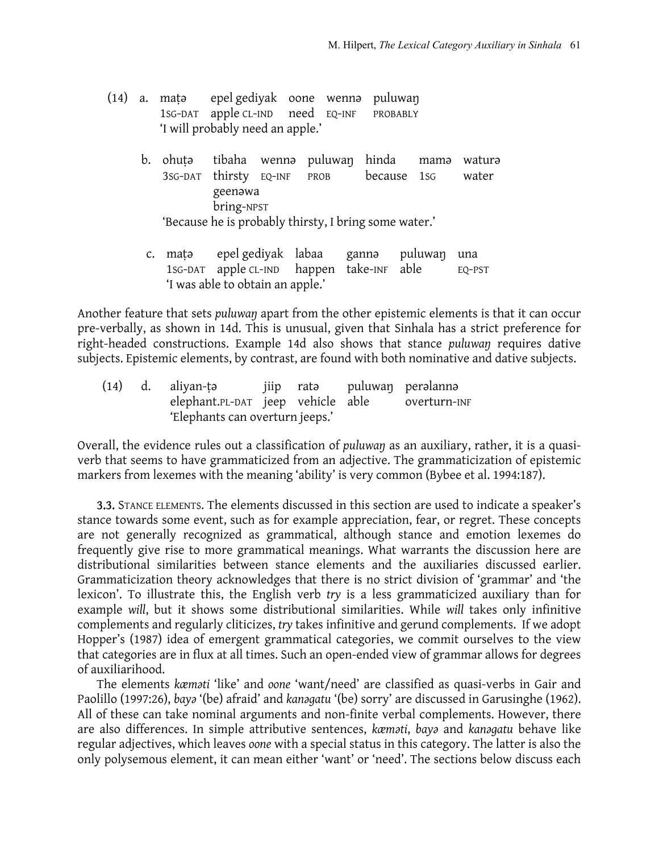- (14) a. maṭə epel gediyak oone wennə puluwaŋ 1SG-DAT apple CL-IND need EQ-INF PROBABLY 'I will probably need an apple.'
	- b. ohuṭə tibaha wennə puluwaŋ hinda mamə waturə 3SG-DAT thirsty EQ-INF PROB because 1SG water geenəwa bring-NPST 'Because he is probably thirsty, I bring some water.'
	- c. maṭə epel gediyak labaa gannə puluwaŋ una 1SG-DAT apple CL-IND happen take-INF able EQ-PST 'I was able to obtain an apple.'

Another feature that sets *puluwaŋ* apart from the other epistemic elements is that it can occur pre-verbally, as shown in 14d. This is unusual, given that Sinhala has a strict preference for right-headed constructions. Example 14d also shows that stance *puluwaŋ* requires dative subjects. Epistemic elements, by contrast, are found with both nominative and dative subjects.

(14) d. aliyan-ṭǝ jiip ratǝ puluwaŋ perǝlannǝ elephant.PL-DAT jeep vehicle able overturn-INF 'Elephants can overturn jeeps.'

Overall, the evidence rules out a classification of *puluwaŋ* as an auxiliary, rather, it is a quasiverb that seems to have grammaticized from an adjective. The grammaticization of epistemic markers from lexemes with the meaning 'ability' is very common (Bybee et al. 1994:187).

3.3. STANCE ELEMENTS. The elements discussed in this section are used to indicate a speaker's stance towards some event, such as for example appreciation, fear, or regret. These concepts are not generally recognized as grammatical, although stance and emotion lexemes do frequently give rise to more grammatical meanings. What warrants the discussion here are distributional similarities between stance elements and the auxiliaries discussed earlier. Grammaticization theory acknowledges that there is no strict division of 'grammar' and 'the lexicon'. To illustrate this, the English verb *try* is a less grammaticized auxiliary than for example *will*, but it shows some distributional similarities. While *will* takes only infinitive complements and regularly cliticizes, *try* takes infinitive and gerund complements. If we adopt Hopper's (1987) idea of emergent grammatical categories, we commit ourselves to the view that categories are in flux at all times. Such an open-ended view of grammar allows for degrees of auxiliarihood.

The elements *kæməti* 'like' and *oone* 'want/need' are classified as quasi-verbs in Gair and Paolillo (1997:26), *bayə* '(be) afraid' and *kanəgatu* '(be) sorry' are discussed in Garusinghe (1962). All of these can take nominal arguments and non-finite verbal complements. However, there are also differences. In simple attributive sentences, *kæməti*, *bayə* and *kanəgatu* behave like regular adjectives, which leaves *oone* with a special status in this category. The latter is also the only polysemous element, it can mean either 'want' or 'need'. The sections below discuss each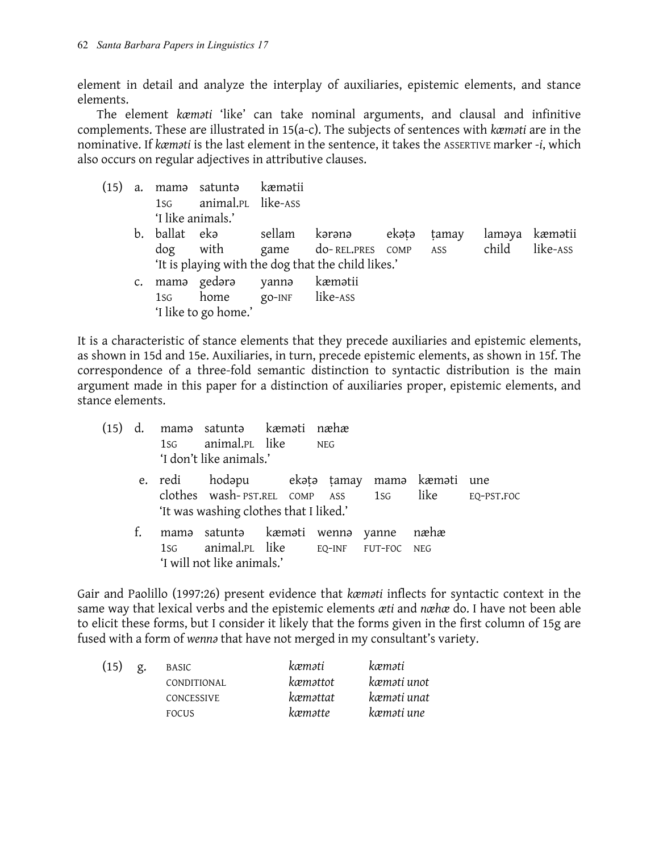element in detail and analyze the interplay of auxiliaries, epistemic elements, and stance elements.

The element *kæməti* 'like' can take nominal arguments, and clausal and infinitive complements. These are illustrated in 15(a-c). The subjects of sentences with *kæməti* are in the nominative. If *kæməti* is the last element in the sentence, it takes the ASSERTIVE marker *-i*, which also occurs on regular adjectives in attributive clauses.

- (15) a. mamə satuntə kæmətii 1SG animal.PL like-ASS 'I like animals.'
	- b. ballat ekə sellam kərənə ekəṭə ṭamay laməya kæmətii dog with game do- REL.PRES COMP ASS child like-ASS 'It is playing with the dog that the child likes.'
	- c. mamə gedərə yannə kæmətii 1SG home go-INF like-ASS 'I like to go home.'

It is a characteristic of stance elements that they precede auxiliaries and epistemic elements, as shown in 15d and 15e. Auxiliaries, in turn, precede epistemic elements, as shown in 15f. The correspondence of a three-fold semantic distinction to syntactic distribution is the main argument made in this paper for a distinction of auxiliaries proper, epistemic elements, and stance elements.

| (15) |    | mama satunta kæmati næhæ<br>1sG animal.PL like NEG<br>'I don't like animals.'                                                                |  |      |  |
|------|----|----------------------------------------------------------------------------------------------------------------------------------------------|--|------|--|
|      |    | e. redi bodapu ke ekata tamay mama kæmati une<br>clothes wash-PST.REL COMP ASS 1SG like EQ-PST.FOC<br>'It was washing clothes that I liked.' |  |      |  |
|      | f. | mama satunta kæmati wenna yanne<br>1sG animal.PL like EQ-INF FUT-FOC NEG<br>'I will not like animals.'                                       |  | næhæ |  |

Gair and Paolillo (1997:26) present evidence that *kæməti* inflects for syntactic context in the same way that lexical verbs and the epistemic elements *æti* and *næhæ* do. I have not been able to elicit these forms, but I consider it likely that the forms given in the first column of 15g are fused with a form of *wennə* that have not merged in my consultant's variety.

| (15) | g. | BASIC              | kæməti   | kæməti      |
|------|----|--------------------|----------|-------------|
|      |    | <b>CONDITIONAL</b> | kæməttot | kæməti unot |
|      |    | CONCESSIVE         | kæməttat | kæməti unat |
|      |    | <b>FOCUS</b>       | kæmətte  | kæməti une  |
|      |    |                    |          |             |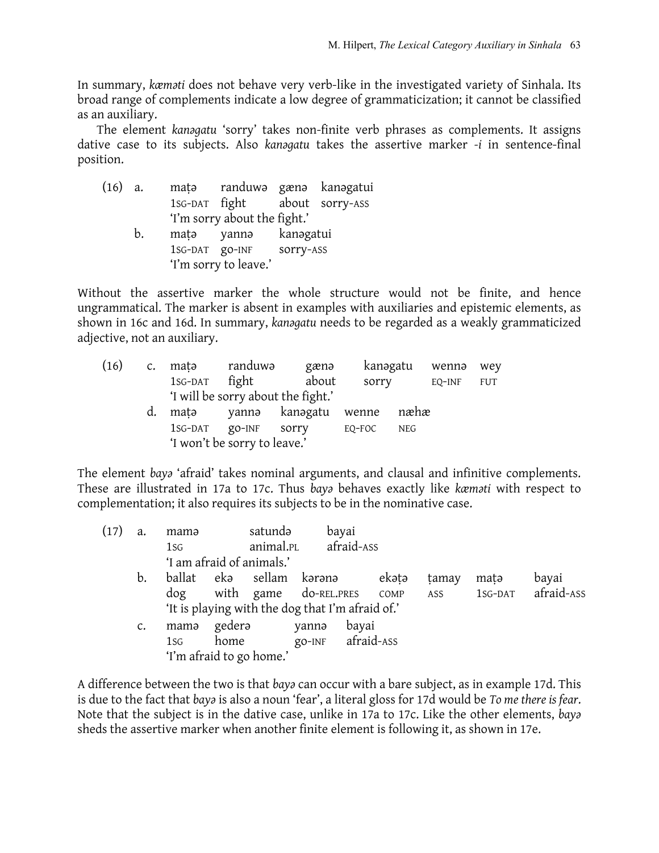In summary, *kæməti* does not behave very verb-like in the investigated variety of Sinhala. Its broad range of complements indicate a low degree of grammaticization; it cannot be classified as an auxiliary.

The element *kanəgatu* 'sorry' takes non-finite verb phrases as complements. It assigns dative case to its subjects. Also *kanəgatu* takes the assertive marker *-i* in sentence-final position.

| $(16)$ a. |    |                | mata randuwa gæna kanagatui   |           |  |
|-----------|----|----------------|-------------------------------|-----------|--|
|           |    |                | 1SG-DAT fight about sorry-ASS |           |  |
|           |    |                | 'I'm sorry about the fight.'  |           |  |
|           | b. | matə           | yannə                         | kanəgatui |  |
|           |    | 1SG-DAT gO-INF |                               | sorry-ASS |  |
|           |    |                | 'I'm sorry to leave.'         |           |  |
|           |    |                |                               |           |  |

Without the assertive marker the whole structure would not be finite, and hence ungrammatical. The marker is absent in examples with auxiliaries and epistemic elements, as shown in 16c and 16d. In summary, *kanəgatu* needs to be regarded as a weakly grammaticized adjective, not an auxiliary.

| (16) | $\mathsf{C}$ . | matə                         | randuwə  | gænə                               | kanəgatu |      | wennə  | wey        |
|------|----------------|------------------------------|----------|------------------------------------|----------|------|--------|------------|
|      |                | 1SG-DAT                      | fight    | about                              | sorry    |      | EQ-INF | <b>FUT</b> |
|      |                |                              |          | 'I will be sorry about the fight.' |          |      |        |            |
|      | d.             | matə                         |          | yannə kanəgatu                     | wenne    | næhæ |        |            |
|      |                | 1SG-DAT                      | $QO-INF$ | sorry                              | EQ-FOC   | NEG  |        |            |
|      |                | 'I won't be sorry to leave.' |          |                                    |          |      |        |            |

The element *bayə* 'afraid' takes nominal arguments, and clausal and infinitive complements. These are illustrated in 17a to 17c. Thus *bayə* behaves exactly like *kæməti* with respect to complementation; it also requires its subjects to be in the nominative case.

| (17) | a.             | mamə            |        | satundə                                          |                   | bayai      |       |            |         |            |
|------|----------------|-----------------|--------|--------------------------------------------------|-------------------|------------|-------|------------|---------|------------|
|      |                | 1S <sub>G</sub> |        | animal.PL                                        |                   | afraid-ASS |       |            |         |            |
|      |                |                 |        | 'I am afraid of animals.'                        |                   |            |       |            |         |            |
|      | b.             | ballat          | ekə    | sellam                                           | kərənə            |            | ekətə | tamay      | mata    | bayai      |
|      |                | dog             |        | with game do-REL.PRES                            |                   |            | COMP  | <b>ASS</b> | 1SG-DAT | afraid-ASS |
|      |                |                 |        | 'It is playing with the dog that I'm afraid of.' |                   |            |       |            |         |            |
|      | $\mathsf{C}$ . | mama            | gederə |                                                  | yanna             | bayai      |       |            |         |            |
|      |                | 1S <sub>G</sub> | home   |                                                  | go-INF afraid-ASS |            |       |            |         |            |
|      |                |                 |        | 'I'm afraid to go home.'                         |                   |            |       |            |         |            |

A difference between the two is that *bayə* can occur with a bare subject, as in example 17d. This is due to the fact that *bayə* is also a noun 'fear', a literal gloss for 17d would be *To me there is fear*. Note that the subject is in the dative case, unlike in 17a to 17c. Like the other elements, *bayə* sheds the assertive marker when another finite element is following it, as shown in 17e.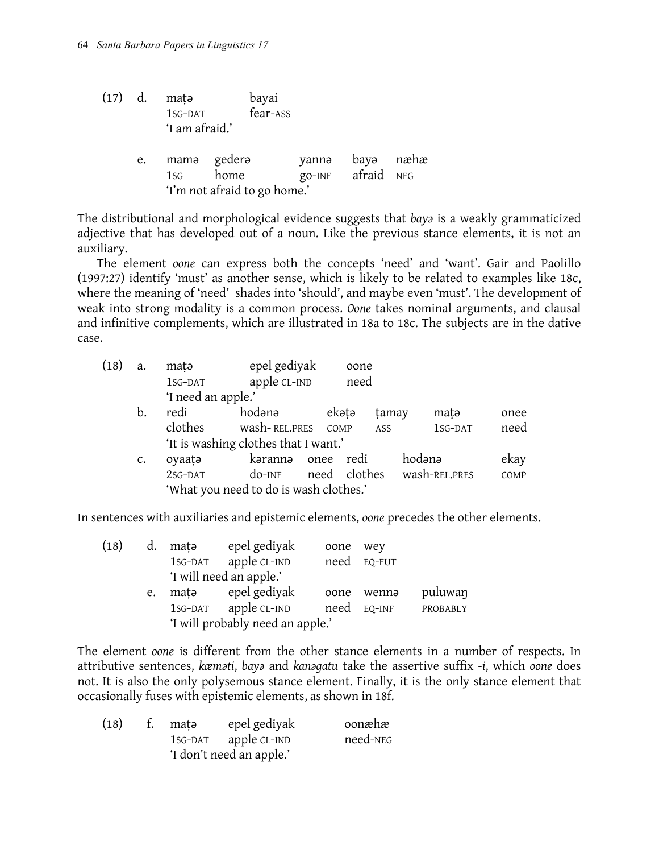| $(17)$ d. |    | mata<br>1SG-DAT<br>'I am afraid.' |      | bayai<br>fear-ASS            |       |                           |      |
|-----------|----|-----------------------------------|------|------------------------------|-------|---------------------------|------|
|           | e. | mama gedera<br>1sg                | home | 'I'm not afraid to go home.' | yanna | bayə<br>go-INF afraid NEG | næhæ |

The distributional and morphological evidence suggests that *bayə* is a weakly grammaticized adjective that has developed out of a noun. Like the previous stance elements, it is not an auxiliary.

The element *oone* can express both the concepts 'need' and 'want'. Gair and Paolillo (1997:27) identify 'must' as another sense, which is likely to be related to examples like 18c, where the meaning of 'need' shades into 'should', and maybe even 'must'. The development of weak into strong modality is a common process. *Oone* takes nominal arguments, and clausal and infinitive complements, which are illustrated in 18a to 18c. The subjects are in the dative case.

| (18) | a. | matə               | epel gediyak                           |      | oone         |       |               |      |
|------|----|--------------------|----------------------------------------|------|--------------|-------|---------------|------|
|      |    | 1SG-DAT            | apple CL-IND                           |      | need         |       |               |      |
|      |    | 'I need an apple.' |                                        |      |              |       |               |      |
|      | b. | redi               | hodana                                 |      | ekətə        | tamay | matə          | onee |
|      |    | clothes            | wash-REL.PRES                          |      | COMP         | ASS   | 1SG-DAT       | need |
|      |    |                    | 'It is washing clothes that I want.'   |      |              |       |               |      |
|      | c. | oyaata             | kərannə                                | onee | redi         |       | hodana        | ekay |
|      |    | 2SG-DAT            | $do$ -INF                              |      | need clothes |       | wash-REL.PRES | COMP |
|      |    |                    | 'What you need to do is wash clothes.' |      |              |       |               |      |

In sentences with auxiliaries and epistemic elements, *oone* precedes the other elements.

| (18) | d. | mata    | epel gediyak                     | oone | wey    |          |
|------|----|---------|----------------------------------|------|--------|----------|
|      |    |         | 1sG-DAT apple CL-IND             | need | EQ-FUT |          |
|      |    |         | 'I will need an apple.'          |      |        |          |
|      | e. | matə    | epel gediyak                     | oone | wenna  | puluwan  |
|      |    | 1SG-DAT | apple CL-IND                     | need | EQ-INF | PROBABLY |
|      |    |         | 'I will probably need an apple.' |      |        |          |

The element *oone* is different from the other stance elements in a number of respects. In attributive sentences, *kæməti*, *bayə* and *kanəgatu* take the assertive suffix *-i*, which *oone* does not. It is also the only polysemous stance element. Finally, it is the only stance element that occasionally fuses with epistemic elements, as shown in 18f.

| (18) | t. matə                  | epel gediyak         | oonæhæ   |
|------|--------------------------|----------------------|----------|
|      |                          | 1sG-DAT apple CL-IND | need-NEG |
|      | 'I don't need an apple.' |                      |          |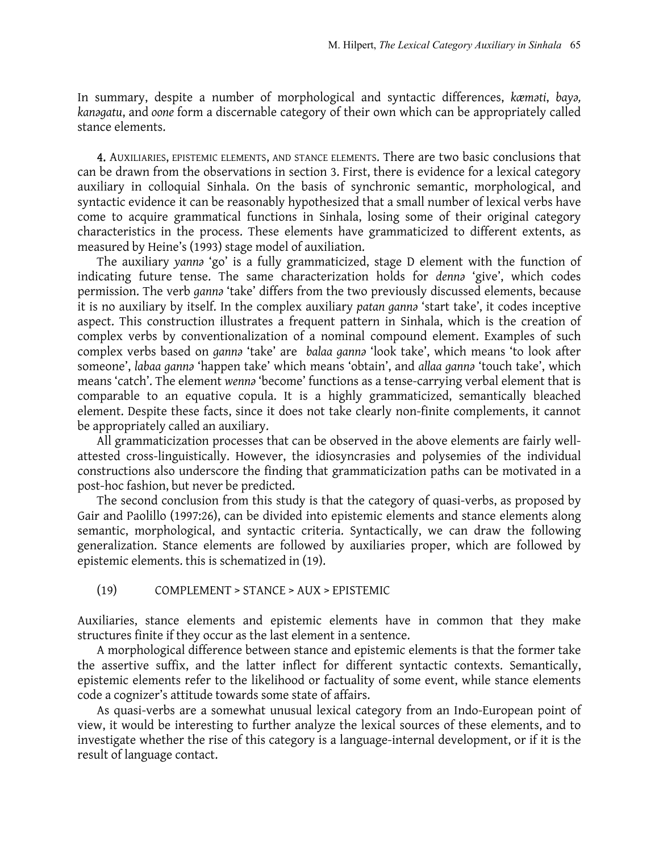In summary, despite a number of morphological and syntactic differences, *kæməti*, *bayə, kanəgatu*, and *oone* form a discernable category of their own which can be appropriately called stance elements.

4. AUXILIARIES, EPISTEMIC ELEMENTS, AND STANCE ELEMENTS. There are two basic conclusions that can be drawn from the observations in section 3. First, there is evidence for a lexical category auxiliary in colloquial Sinhala. On the basis of synchronic semantic, morphological, and syntactic evidence it can be reasonably hypothesized that a small number of lexical verbs have come to acquire grammatical functions in Sinhala, losing some of their original category characteristics in the process. These elements have grammaticized to different extents, as measured by Heine's (1993) stage model of auxiliation.

The auxiliary *yannə* 'go' is a fully grammaticized, stage D element with the function of indicating future tense. The same characterization holds for *dennə* 'give', which codes permission. The verb *gannə* 'take' differs from the two previously discussed elements, because it is no auxiliary by itself. In the complex auxiliary *patan gannə* 'start take', it codes inceptive aspect. This construction illustrates a frequent pattern in Sinhala, which is the creation of complex verbs by conventionalization of a nominal compound element. Examples of such complex verbs based on *gannə* 'take' are *balaa gannə* 'look take', which means 'to look after someone', *labaa gannə* 'happen take' which means 'obtain', and *allaa gannə* 'touch take', which means 'catch'. The element *wennə* 'become' functions as a tense-carrying verbal element that is comparable to an equative copula. It is a highly grammaticized, semantically bleached element. Despite these facts, since it does not take clearly non-finite complements, it cannot be appropriately called an auxiliary.

All grammaticization processes that can be observed in the above elements are fairly wellattested cross-linguistically. However, the idiosyncrasies and polysemies of the individual constructions also underscore the finding that grammaticization paths can be motivated in a post-hoc fashion, but never be predicted.

The second conclusion from this study is that the category of quasi-verbs, as proposed by Gair and Paolillo (1997:26), can be divided into epistemic elements and stance elements along semantic, morphological, and syntactic criteria. Syntactically, we can draw the following generalization. Stance elements are followed by auxiliaries proper, which are followed by epistemic elements. this is schematized in (19).

(19) COMPLEMENT > STANCE > AUX > EPISTEMIC

Auxiliaries, stance elements and epistemic elements have in common that they make structures finite if they occur as the last element in a sentence.

A morphological difference between stance and epistemic elements is that the former take the assertive suffix, and the latter inflect for different syntactic contexts. Semantically, epistemic elements refer to the likelihood or factuality of some event, while stance elements code a cognizer's attitude towards some state of affairs.

As quasi-verbs are a somewhat unusual lexical category from an Indo-European point of view, it would be interesting to further analyze the lexical sources of these elements, and to investigate whether the rise of this category is a language-internal development, or if it is the result of language contact.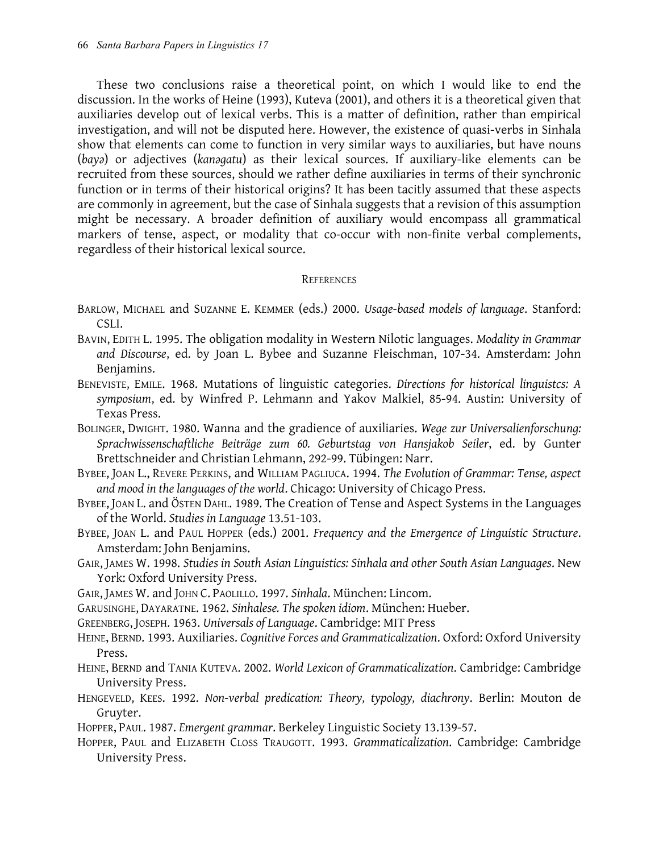These two conclusions raise a theoretical point, on which I would like to end the discussion. In the works of Heine (1993), Kuteva (2001), and others it is a theoretical given that auxiliaries develop out of lexical verbs. This is a matter of definition, rather than empirical investigation, and will not be disputed here. However, the existence of quasi-verbs in Sinhala show that elements can come to function in very similar ways to auxiliaries, but have nouns (*bayə*) or adjectives (*kanəgatu*) as their lexical sources. If auxiliary-like elements can be recruited from these sources, should we rather define auxiliaries in terms of their synchronic function or in terms of their historical origins? It has been tacitly assumed that these aspects are commonly in agreement, but the case of Sinhala suggests that a revision of this assumption might be necessary. A broader definition of auxiliary would encompass all grammatical markers of tense, aspect, or modality that co-occur with non-finite verbal complements, regardless of their historical lexical source.

## **REFERENCES**

- BARLOW, MICHAEL and SUZANNE E. KEMMER (eds.) 2000. *Usage-based models of language*. Stanford: CSLI.
- BAVIN, EDITH L. 1995. The obligation modality in Western Nilotic languages. *Modality in Grammar and Discourse*, ed. by Joan L. Bybee and Suzanne Fleischman, 107-34. Amsterdam: John Benjamins.
- BENEVISTE, EMILE. 1968. Mutations of linguistic categories. *Directions for historical linguistcs: A symposium*, ed. by Winfred P. Lehmann and Yakov Malkiel, 85-94. Austin: University of Texas Press.
- BOLINGER, DWIGHT. 1980. Wanna and the gradience of auxiliaries. *Wege zur Universalienforschung: Sprachwissenschaftliche Beiträge zum 60. Geburtstag von Hansjakob Seiler*, ed. by Gunter Brettschneider and Christian Lehmann, 292-99. Tübingen: Narr.
- BYBEE, JOAN L., REVERE PERKINS, and WILLIAM PAGLIUCA. 1994. *The Evolution of Grammar: Tense, aspect and mood in the languages of the world*. Chicago: University of Chicago Press.
- BYBEE, JOAN L. and ÖSTEN DAHL. 1989. The Creation of Tense and Aspect Systems in the Languages of the World. *Studies in Language* 13.51-103.
- BYBEE, JOAN L. and PAUL HOPPER (eds.) 2001. *Frequency and the Emergence of Linguistic Structure*. Amsterdam: John Benjamins.
- GAIR, JAMES W. 1998. *Studies in South Asian Linguistics: Sinhala and other South Asian Languages*. New York: Oxford University Press.
- GAIR, JAMES W. and JOHN C. PAOLILLO. 1997. *Sinhala*. München: Lincom.
- GARUSINGHE, DAYARATNE. 1962. *Sinhalese. The spoken idiom*. München: Hueber.
- GREENBERG, JOSEPH. 1963. *Universals of Language*. Cambridge: MIT Press
- HEINE, BERND. 1993. Auxiliaries. *Cognitive Forces and Grammaticalization*. Oxford: Oxford University Press.
- HEINE, BERND and TANIA KUTEVA. 2002. *World Lexicon of Grammaticalization*. Cambridge: Cambridge University Press.
- HENGEVELD, KEES. 1992. *Non-verbal predication: Theory, typology, diachrony*. Berlin: Mouton de Gruyter.
- HOPPER, PAUL. 1987. *Emergent grammar*. Berkeley Linguistic Society 13.139-57.
- HOPPER, PAUL and ELIZABETH CLOSS TRAUGOTT. 1993. *Grammaticalization*. Cambridge: Cambridge University Press.